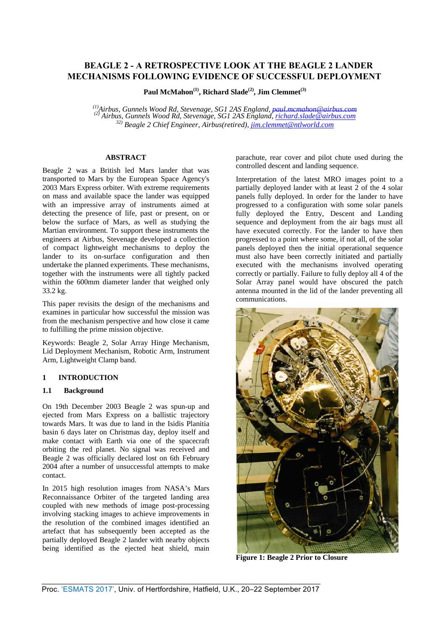# **BEAGLE 2 - A RETROSPECTIVE LOOK AT THE BEAGLE 2 LANDER MECHANISMS FOLLOWING EVIDENCE OF SUCCESSFUL DEPLOYMENT**

Paul McMahon<sup>(1)</sup>, Richard Slade<sup>(2)</sup>, Jim Clemmet<sup>(3)</sup>

*(1)Airbus, Gunnels Wood Rd, Stevenage, SG1 2AS England, paul.mcmahon@airbus.com (2) Airbus, Gunnels Wood Rd, Stevenage, SG1 2AS England, richard.slade@airbus.com 32) Beagle 2 Chief Engineer, Airbus(retired), jim.clemmet@ntlworld.com*

### **ABSTRACT**

Beagle 2 was a British led Mars lander that was transported to Mars by the European Space Agency's 2003 Mars Express orbiter. With extreme requirements on mass and available space the lander was equipped with an impressive array of instruments aimed at detecting the presence of life, past or present, on or below the surface of Mars, as well as studying the Martian environment. To support these instruments the engineers at Airbus, Stevenage developed a collection of compact lightweight mechanisms to deploy the lander to its on-surface configuration and then undertake the planned experiments. These mechanisms, together with the instruments were all tightly packed within the 600mm diameter lander that weighed only 33.2 kg.

This paper revisits the design of the mechanisms and examines in particular how successful the mission was from the mechanism perspective and how close it came to fulfilling the prime mission objective.

Keywords: Beagle 2, Solar Array Hinge Mechanism, Lid Deployment Mechanism, Robotic Arm, Instrument Arm, Lightweight Clamp band.

#### **1 INTRODUCTION**

### **1.1 Background**

On 19th December 2003 Beagle 2 was spun-up and ejected from Mars Express on a ballistic trajectory towards Mars. It was due to land in the Isidis Planitia basin 6 days later on Christmas day, deploy itself and make contact with Earth via one of the spacecraft orbiting the red planet. No signal was received and Beagle 2 was officially declared lost on 6th February 2004 after a number of unsuccessful attempts to make contact.

In 2015 high resolution images from NASA's Mars Reconnaissance Orbiter of the targeted landing area coupled with new methods of image post-processing involving stacking images to achieve improvements in the resolution of the combined images identified an artefact that has subsequently been accepted as the partially deployed Beagle 2 lander with nearby objects being identified as the ejected heat shield, main

parachute, rear cover and pilot chute used during the controlled descent and landing sequence.

Interpretation of the latest MRO images point to a partially deployed lander with at least 2 of the 4 solar panels fully deployed. In order for the lander to have progressed to a configuration with some solar panels fully deployed the Entry, Descent and Landing sequence and deployment from the air bags must all have executed correctly. For the lander to have then progressed to a point where some, if not all, of the solar panels deployed then the initial operational sequence must also have been correctly initiated and partially executed with the mechanisms involved operating correctly or partially. Failure to fully deploy all 4 of the Solar Array panel would have obscured the patch antenna mounted in the lid of the lander preventing all communications.



**Figure 1: Beagle 2 Prior to Closure**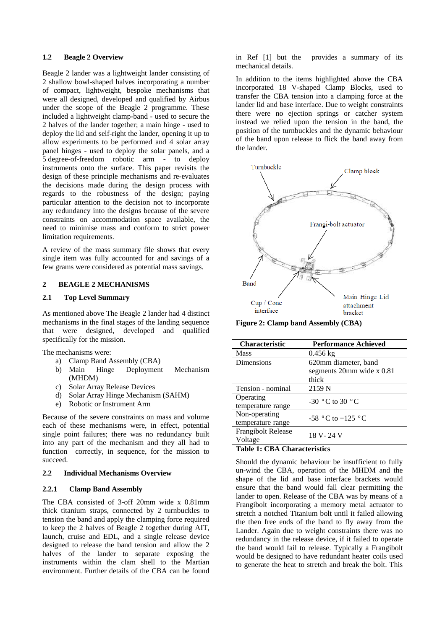### **1.2 Beagle 2 Overview**

Beagle 2 lander was a lightweight lander consisting of 2 shallow bowl-shaped halves incorporating a number of compact, lightweight, bespoke mechanisms that were all designed, developed and qualified by Airbus under the scope of the Beagle 2 programme. These included a lightweight clamp-band - used to secure the 2 halves of the lander together; a main hinge - used to deploy the lid and self-right the lander, opening it up to allow experiments to be performed and 4 solar array panel hinges - used to deploy the solar panels, and a 5 degree-of-freedom robotic arm - to deploy instruments onto the surface. This paper revisits the design of these principle mechanisms and re-evaluates the decisions made during the design process with regards to the robustness of the design; paying particular attention to the decision not to incorporate any redundancy into the designs because of the severe constraints on accommodation space available, the need to minimise mass and conform to strict power limitation requirements.

A review of the mass summary file shows that every single item was fully accounted for and savings of a few grams were considered as potential mass savings.

### **2 BEAGLE 2 MECHANISMS**

# **2.1 Top Level Summary**

As mentioned above The Beagle 2 lander had 4 distinct mechanisms in the final stages of the landing sequence that were designed, developed and qualified specifically for the mission.

The mechanisms were:

- a) Clamp Band Assembly (CBA)
- b) Main Hinge Deployment Mechanism (MHDM)
- c) Solar Array Release Devices
- d) Solar Array Hinge Mechanism (SAHM)
- e) Robotic or Instrument Arm

Because of the severe constraints on mass and volume each of these mechanisms were, in effect, potential single point failures; there was no redundancy built into any part of the mechanism and they all had to function correctly, in sequence, for the mission to succeed.

### **2.2 Individual Mechanisms Overview**

### **2.2.1 Clamp Band Assembly**

The CBA consisted of 3-off 20mm wide x 0.81mm thick titanium straps, connected by 2 turnbuckles to tension the band and apply the clamping force required to keep the 2 halves of Beagle 2 together during AIT, launch, cruise and EDL, and a single release device designed to release the band tension and allow the 2 halves of the lander to separate exposing the instruments within the clam shell to the Martian environment. Further details of the CBA can be found in Ref [1] but the provides a summary of its mechanical details.

In addition to the items highlighted above the CBA incorporated 18 V-shaped Clamp Blocks, used to transfer the CBA tension into a clamping force at the lander lid and base interface. Due to weight constraints there were no ejection springs or catcher system instead we relied upon the tension in the band, the position of the turnbuckles and the dynamic behaviour of the band upon release to flick the band away from the lander.



| Characteristic     | <b>Performance Achieved</b>       |
|--------------------|-----------------------------------|
| <b>Mass</b>        | $0.456$ kg                        |
| Dimensions         | 620mm diameter, band              |
|                    | segments 20mm wide x 0.81         |
|                    | thick                             |
| Tension - nominal  | 2159 N                            |
| Operating          | -30 $\degree$ C to 30 $\degree$ C |
| temperature range  |                                   |
| Non-operating      | $-58$ °C to $+125$ °C             |
| temperature range  |                                   |
| Frangibolt Release | 18 V-24 V                         |
| Voltage            |                                   |

#### **Table 1: CBA Characteristics**

Should the dynamic behaviour be insufficient to fully un-wind the CBA, operation of the MHDM and the shape of the lid and base interface brackets would ensure that the band would fall clear permitting the lander to open. Release of the CBA was by means of a Frangibolt incorporating a memory metal actuator to stretch a notched Titanium bolt until it failed allowing the then free ends of the band to fly away from the Lander. Again due to weight constraints there was no redundancy in the release device, if it failed to operate the band would fail to release. Typically a Frangibolt would be designed to have redundant heater coils used to generate the heat to stretch and break the bolt. This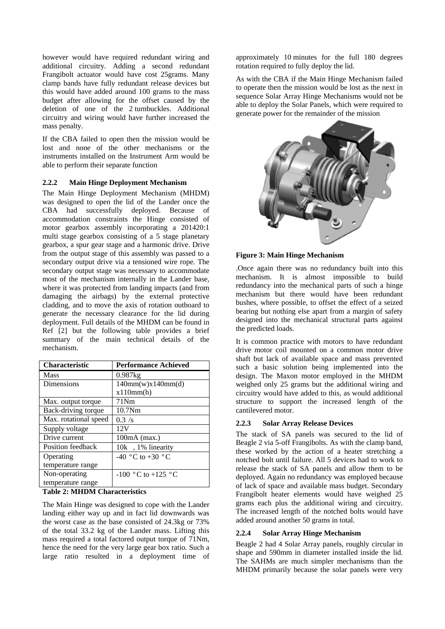however would have required redundant wiring and additional circuitry. Adding a second redundant Frangibolt actuator would have cost 25grams. Many clamp bands have fully redundant release devices but this would have added around 100 grams to the mass budget after allowing for the offset caused by the deletion of one of the 2 turnbuckles. Additional circuitry and wiring would have further increased the mass penalty.

If the CBA failed to open then the mission would be lost and none of the other mechanisms or the instruments installed on the Instrument Arm would be able to perform their separate function

# **2.2.2 Main Hinge Deployment Mechanism**

The Main Hinge Deployment Mechanism (MHDM) was designed to open the lid of the Lander once the CBA had successfully deployed. Because of accommodation constraints the Hinge consisted of motor gearbox assembly incorporating a 201420:1 multi stage gearbox consisting of a 5 stage planetary gearbox, a spur gear stage and a harmonic drive. Drive from the output stage of this assembly was passed to a secondary output drive via a tensioned wire rope. The secondary output stage was necessary to accommodate most of the mechanism internally in the Lander base, where it was protected from landing impacts (and from damaging the airbags) by the external protective cladding, and to move the axis of rotation outboard to generate the necessary clearance for the lid during deployment. Full details of the MHDM can be found in Ref [2] but the following table provides a brief summary of the main technical details of the mechanism.

| <b>Characteristic</b> | <b>Performance Achieved</b> |
|-----------------------|-----------------------------|
| <b>Mass</b>           | $0.987$ <sub>kg</sub>       |
| Dimensions            | 140mm(w)x140mm(d)           |
|                       | x110mm(h)                   |
| Max. output torque    | 71Nm                        |
| Back-driving torque   | $10.7$ Nm                   |
| Max. rotational speed | 0.3 / s                     |
| Supply voltage        | 12V                         |
| Drive current         | 100mA (max.)                |
| Position feedback     | 10k, 1% linearity           |
| Operating             | $-40$ °C to $+30$ °C        |
| temperature range     |                             |
| Non-operating         | $-100$ °C to $+125$ °C      |
| temperature range     |                             |

# **Table 2: MHDM Characteristics**

The Main Hinge was designed to cope with the Lander landing either way up and in fact lid downwards was the worst case as the base consisted of 24.3kg or 73% of the total 33.2 kg of the Lander mass. Lifting this mass required a total factored output torque of 71Nm, hence the need for the very large gear box ratio. Such a large ratio resulted in a deployment time of

approximately 10 minutes for the full 180 degrees rotation required to fully deploy the lid.

As with the CBA if the Main Hinge Mechanism failed to operate then the mission would be lost as the next in sequence Solar Array Hinge Mechanisms would not be able to deploy the Solar Panels, which were required to generate power for the remainder of the mission



#### **Figure 3: Main Hinge Mechanism**

.Once again there was no redundancy built into this mechanism. It is almost impossible to build redundancy into the mechanical parts of such a hinge mechanism but there would have been redundant bushes, where possible, to offset the effect of a seized bearing but nothing else apart from a margin of safety designed into the mechanical structural parts against the predicted loads.

It is common practice with motors to have redundant drive motor coil mounted on a common motor drive shaft but lack of available space and mass prevented such a basic solution being implemented into the design. The Maxon motor employed in the MHDM weighed only 25 grams but the additional wiring and circuitry would have added to this, as would additional structure to support the increased length of the cantilevered motor.

### **2.2.3 Solar Array Release Devices**

The stack of SA panels was secured to the lid of Beagle 2 via 5-off Frangibolts. As with the clamp band, these worked by the action of a heater stretching a notched bolt until failure. All 5 devices had to work to release the stack of SA panels and allow them to be deployed. Again no redundancy was employed because of lack of space and available mass budget. Secondary Frangibolt heater elements would have weighed 25 grams each plus the additional wiring and circuitry. The increased length of the notched bolts would have added around another 50 grams in total.

#### **2.2.4 Solar Array Hinge Mechanism**

Beagle 2 had 4 Solar Array panels, roughly circular in shape and 590mm in diameter installed inside the lid. The SAHMs are much simpler mechanisms than the MHDM primarily because the solar panels were very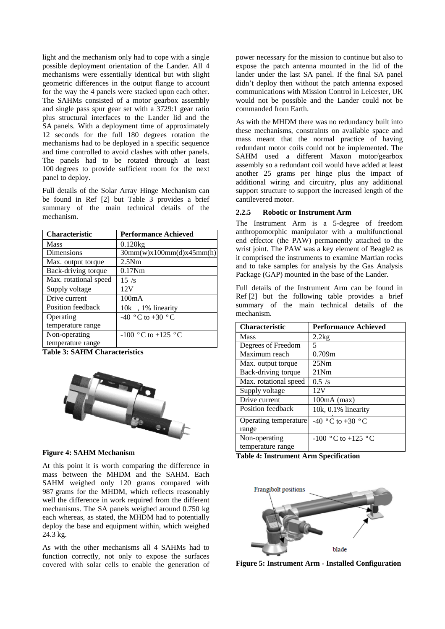light and the mechanism only had to cope with a single possible deployment orientation of the Lander. All 4 mechanisms were essentially identical but with slight geometric differences in the output flange to account for the way the 4 panels were stacked upon each other. The SAHMs consisted of a motor gearbox assembly and single pass spur gear set with a 3729:1 gear ratio plus structural interfaces to the Lander lid and the SA panels. With a deployment time of approximately 12 seconds for the full 180 degrees rotation the mechanisms had to be deployed in a specific sequence and time controlled to avoid clashes with other panels. The panels had to be rotated through at least 100 degrees to provide sufficient room for the next panel to deploy.

Full details of the Solar Array Hinge Mechanism can be found in Ref [2] but Table 3 provides a brief summary of the main technical details of the mechanism.

| Characteristic        | <b>Performance Achieved</b> |
|-----------------------|-----------------------------|
| Mass                  | $0.120$ kg                  |
| Dimensions            | 30mm(w)x100mm(d)x45mm(h)    |
| Max. output torque    | 2.5Nm                       |
| Back-driving torque   | 0.17Nm                      |
| Max. rotational speed | 15/s                        |
| Supply voltage        | 12V                         |
| Drive current         | 100mA                       |
| Position feedback     | 10k, 1% linearity           |
| Operating             | $-40$ °C to $+30$ °C        |
| temperature range     |                             |
| Non-operating         | $-100$ °C to $+125$ °C      |
| temperature range     |                             |

**Table 3: SAHM Characteristics** 



### **Figure 4: SAHM Mechanism**

At this point it is worth comparing the difference in mass between the MHDM and the SAHM. Each SAHM weighed only 120 grams compared with 987 grams for the MHDM, which reflects reasonably well the difference in work required from the different mechanisms. The SA panels weighed around 0.750 kg each whereas, as stated, the MHDM had to potentially deploy the base and equipment within, which weighed 24.3 kg.

As with the other mechanisms all 4 SAHMs had to function correctly, not only to expose the surfaces covered with solar cells to enable the generation of

power necessary for the mission to continue but also to expose the patch antenna mounted in the lid of the lander under the last SA panel. If the final SA panel didn't deploy then without the patch antenna exposed communications with Mission Control in Leicester, UK would not be possible and the Lander could not be commanded from Earth.

As with the MHDM there was no redundancy built into these mechanisms, constraints on available space and mass meant that the normal practice of having redundant motor coils could not be implemented. The SAHM used a different Maxon motor/gearbox assembly so a redundant coil would have added at least another 25 grams per hinge plus the impact of additional wiring and circuitry, plus any additional support structure to support the increased length of the cantilevered motor.

### **2.2.5 Robotic or Instrument Arm**

The Instrument Arm is a 5-degree of freedom anthropomorphic manipulator with a multifunctional end effector (the PAW) permanently attached to the wrist joint. The PAW was a key element of Beagle2 as it comprised the instruments to examine Martian rocks and to take samples for analysis by the Gas Analysis Package (GAP) mounted in the base of the Lander.

Full details of the Instrument Arm can be found in Ref [2] but the following table provides a brief summary of the main technical details of the mechanism.

| <b>Characteristic</b> | <b>Performance Achieved</b> |
|-----------------------|-----------------------------|
| <b>Mass</b>           | 2.2kg                       |
| Degrees of Freedom    | 5                           |
| Maximum reach         | 0.709m                      |
| Max. output torque    | 25Nm                        |
| Back-driving torque   | 21Nm                        |
| Max. rotational speed | 0.5 / s                     |
| Supply voltage        | 12V                         |
| Drive current         | $100mA$ (max)               |
| Position feedback     | 10k, 0.1% linearity         |
| Operating temperature | -40 °C to +30 °C            |
| range                 |                             |
| Non-operating         | $-100$ °C to $+125$ °C      |
| temperature range     |                             |

**Table 4: Instrument Arm Specification** 



**Figure 5: Instrument Arm - Installed Configuration**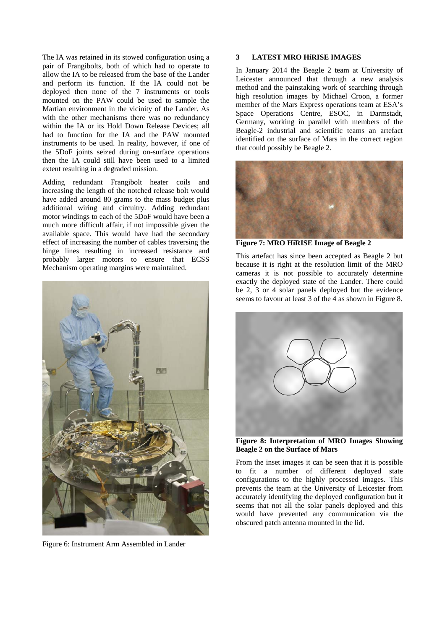The IA was retained in its stowed configuration using a pair of Frangibolts, both of which had to operate to allow the IA to be released from the base of the Lander and perform its function. If the IA could not be deployed then none of the 7 instruments or tools mounted on the PAW could be used to sample the Martian environment in the vicinity of the Lander. As with the other mechanisms there was no redundancy within the IA or its Hold Down Release Devices; all had to function for the IA and the PAW mounted instruments to be used. In reality, however, if one of the 5DoF joints seized during on-surface operations then the IA could still have been used to a limited extent resulting in a degraded mission.

Adding redundant Frangibolt heater coils and increasing the length of the notched release bolt would have added around 80 grams to the mass budget plus additional wiring and circuitry. Adding redundant motor windings to each of the 5DoF would have been a much more difficult affair, if not impossible given the available space. This would have had the secondary effect of increasing the number of cables traversing the hinge lines resulting in increased resistance and probably larger motors to ensure that ECSS Mechanism operating margins were maintained.



Figure 6: Instrument Arm Assembled in Lander

### **3 LATEST MRO HiRISE IMAGES**

In January 2014 the Beagle 2 team at University of Leicester announced that through a new analysis method and the painstaking work of searching through high resolution images by Michael Croon, a former member of the Mars Express operations team at ESA's Space Operations Centre, ESOC, in Darmstadt, Germany, working in parallel with members of the Beagle-2 industrial and scientific teams an artefact identified on the surface of Mars in the correct region that could possibly be Beagle 2.



**Figure 7: MRO HiRISE Image of Beagle 2** 

This artefact has since been accepted as Beagle 2 but because it is right at the resolution limit of the MRO cameras it is not possible to accurately determine exactly the deployed state of the Lander. There could be 2, 3 or 4 solar panels deployed but the evidence seems to favour at least 3 of the 4 as shown in Figure 8.



**Figure 8: Interpretation of MRO Images Showing Beagle 2 on the Surface of Mars** 

From the inset images it can be seen that it is possible to fit a number of different deployed state configurations to the highly processed images. This prevents the team at the University of Leicester from accurately identifying the deployed configuration but it seems that not all the solar panels deployed and this would have prevented any communication via the obscured patch antenna mounted in the lid.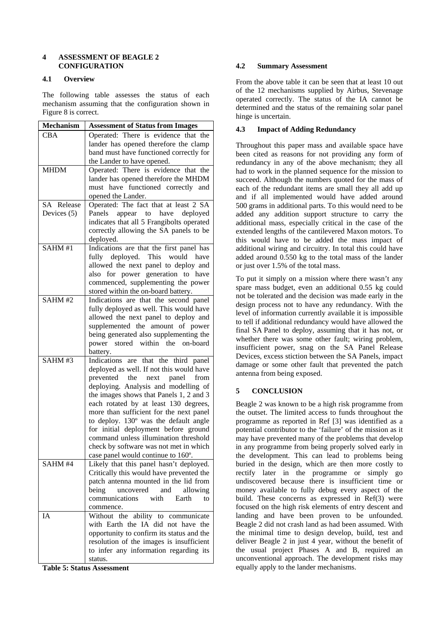### **4 ASSESSMENT OF BEAGLE 2 CONFIGURATION**

# **4.1 Overview**

The following table assesses the status of each mechanism assuming that the configuration shown in Figure 8 is correct.

| <b>Mechanism</b> | <b>Assessment of Status from Images</b>                                         |
|------------------|---------------------------------------------------------------------------------|
| <b>CBA</b>       | Operated: There is evidence that the                                            |
|                  | lander has opened therefore the clamp                                           |
|                  | band must have functioned correctly for                                         |
|                  | the Lander to have opened.                                                      |
| <b>MHDM</b>      | Operated: There is evidence that the                                            |
|                  | lander has opened therefore the MHDM                                            |
|                  | must have functioned correctly and                                              |
|                  | opened the Lander.                                                              |
| SA Release       | Operated: The fact that at least 2 SA                                           |
| Devices (5)      | Panels<br>appear<br>to<br>have deployed                                         |
|                  | indicates that all 5 Frangibolts operated                                       |
|                  | correctly allowing the SA panels to be                                          |
|                  | deployed.                                                                       |
| SAHM#1           | Indications are that the first panel has                                        |
|                  | fully deployed.<br>This<br>would<br>have                                        |
|                  | allowed the next panel to deploy and                                            |
|                  | also for power generation to have                                               |
|                  | commenced, supplementing the power                                              |
|                  | stored within the on-board battery.                                             |
| SAHM#2           | Indications are that the second panel                                           |
|                  |                                                                                 |
|                  | fully deployed as well. This would have<br>allowed the next panel to deploy and |
|                  |                                                                                 |
|                  | supplemented the amount of power                                                |
|                  | being generated also supplementing the                                          |
|                  | power stored within the on-board                                                |
|                  | battery.                                                                        |
| SAHM#3           | Indications<br>are that the third panel                                         |
|                  | deployed as well. If not this would have                                        |
|                  | prevented<br>the next panel<br>from                                             |
|                  | deploying. Analysis and modelling of                                            |
|                  | the images shows that Panels 1, 2 and 3                                         |
|                  | each rotated by at least 130 degrees,                                           |
|                  | more than sufficient for the next panel                                         |
|                  | to deploy. 130° was the default angle                                           |
|                  | for initial deployment before ground                                            |
|                  | command unless illumination threshold                                           |
|                  | check by software was not met in which                                          |
|                  | case panel would continue to 160 <sup>o</sup> .                                 |
| SAHM#4           | Likely that this panel hasn't deployed.                                         |
|                  | Critically this would have prevented the                                        |
|                  | patch antenna mounted in the lid from                                           |
|                  | uncovered and allowing<br>being                                                 |
|                  | communications<br>with<br>Earth<br>to                                           |
|                  | commence.                                                                       |
| IA               | Without the ability to communicate                                              |
|                  | with Earth the IA did not have the                                              |
|                  | opportunity to confirm its status and the                                       |
|                  | resolution of the images is insufficient                                        |
|                  | to infer any information regarding its                                          |
|                  | status.                                                                         |

**Table 5: Status Assessment** 

# **4.2 Summary Assessment**

From the above table it can be seen that at least 10 out of the 12 mechanisms supplied by Airbus, Stevenage operated correctly. The status of the IA cannot be determined and the status of the remaining solar panel hinge is uncertain.

# **4.3 Impact of Adding Redundancy**

Throughout this paper mass and available space have been cited as reasons for not providing any form of redundancy in any of the above mechanism; they all had to work in the planned sequence for the mission to succeed. Although the numbers quoted for the mass of each of the redundant items are small they all add up and if all implemented would have added around 500 grams in additional parts. To this would need to be added any addition support structure to carry the additional mass, especially critical in the case of the extended lengths of the cantilevered Maxon motors. To this would have to be added the mass impact of additional wiring and circuitry. In total this could have added around 0.550 kg to the total mass of the lander or just over 1.5% of the total mass.

To put it simply on a mission where there wasn't any spare mass budget, even an additional 0.55 kg could not be tolerated and the decision was made early in the design process not to have any redundancy. With the level of information currently available it is impossible to tell if additional redundancy would have allowed the final SA Panel to deploy, assuming that it has not, or whether there was some other fault; wiring problem, insufficient power, snag on the SA Panel Release Devices, excess stiction between the SA Panels, impact damage or some other fault that prevented the patch antenna from being exposed.

# **5 CONCLUSION**

Beagle 2 was known to be a high risk programme from the outset. The limited access to funds throughout the programme as reported in Ref [3] was identified as a potential contributor to the 'failure' of the mission as it may have prevented many of the problems that develop in any programme from being properly solved early in the development. This can lead to problems being buried in the design, which are then more costly to rectify later in the programme or simply go undiscovered because there is insufficient time or money available to fully debug every aspect of the build. These concerns as expressed in Ref(3) were focused on the high risk elements of entry descent and landing and have been proven to be unfounded. Beagle 2 did not crash land as had been assumed. With the minimal time to design develop, build, test and deliver Beagle 2 in just 4 year, without the benefit of the usual project Phases A and B, required an unconventional approach. The development risks may equally apply to the lander mechanisms.